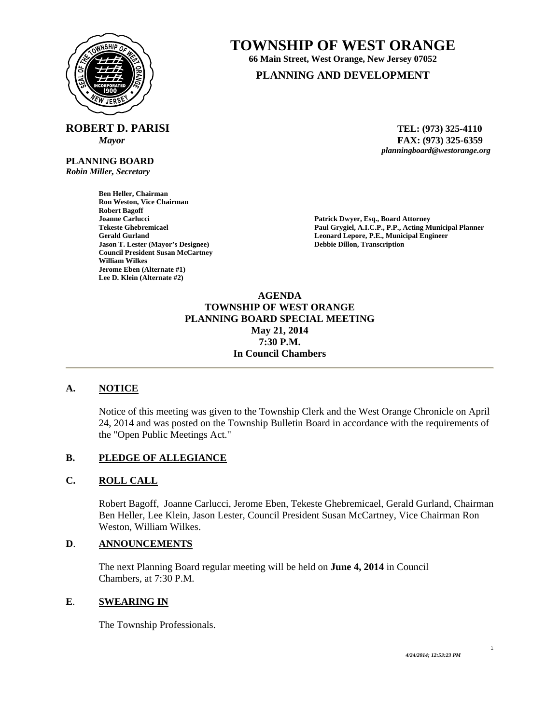

**ROBERT D. PARISI TEL: (973) 325-4110** 

**PLANNING BOARD**  *Robin Miller, Secretary* 

> **Ben Heller, Chairman Ron Weston, Vice Chairman Robert Bagoff Jason T. Lester (Mayor's Designee) Debbie Dillon, Transcription Council President Susan McCartney William Wilkes Jerome Eben (Alternate #1) Lee D. Klein (Alternate #2)**

# **TOWNSHIP OF WEST ORANGE**

**66 Main Street, West Orange, New Jersey 07052** 

# **PLANNING AND DEVELOPMENT**

 *Mayor* **FAX: (973) 325-6359** *planningboard@westorange.org* 

**Joanne Carlucci Patrick Dwyer, Esq., Board Attorney Patrick Dwyer, Esq., Board Attorney Patrick Dwyer, Esq., Board Attorney Paul Grygiel, A.I.C.P., P.P., Acting M** Paul Grygiel, A.I.C.P., P.P., Acting Municipal Planner **Gerald Gurland Leonard Lepore, P.E., Municipal Engineer** 

> **AGENDA TOWNSHIP OF WEST ORANGE PLANNING BOARD SPECIAL MEETING May 21, 2014 7:30 P.M. In Council Chambers**

## **A. NOTICE**

Notice of this meeting was given to the Township Clerk and the West Orange Chronicle on April 24, 2014 and was posted on the Township Bulletin Board in accordance with the requirements of the "Open Public Meetings Act."

## **B. PLEDGE OF ALLEGIANCE**

## **C. ROLL CALL**

Robert Bagoff, Joanne Carlucci, Jerome Eben, Tekeste Ghebremicael, Gerald Gurland, Chairman Ben Heller, Lee Klein, Jason Lester, Council President Susan McCartney, Vice Chairman Ron Weston, William Wilkes.

# **D**. **ANNOUNCEMENTS**

 The next Planning Board regular meeting will be held on **June 4, 2014** in Council Chambers, at 7:30 P.M.

#### **E**. **SWEARING IN**

The Township Professionals.

1